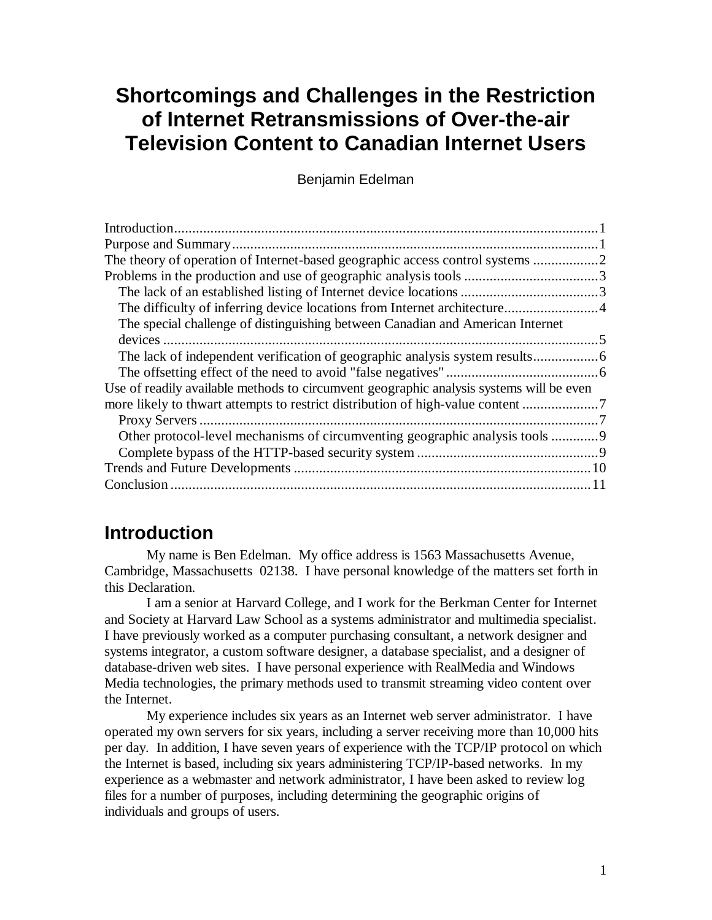# **Shortcomings and Challenges in the Restriction of Internet Retransmissions of Over-the-air Television Content to Canadian Internet Users**

Benjamin Edelman

| The special challenge of distinguishing between Canadian and American Internet          |
|-----------------------------------------------------------------------------------------|
|                                                                                         |
|                                                                                         |
|                                                                                         |
| Use of readily available methods to circumvent geographic analysis systems will be even |
|                                                                                         |
|                                                                                         |
| Other protocol-level mechanisms of circumventing geographic analysis tools              |
|                                                                                         |
|                                                                                         |
|                                                                                         |

## **Introduction**

My name is Ben Edelman. My office address is 1563 Massachusetts Avenue, Cambridge, Massachusetts 02138. I have personal knowledge of the matters set forth in this Declaration.

I am a senior at Harvard College, and I work for the Berkman Center for Internet and Society at Harvard Law School as a systems administrator and multimedia specialist. I have previously worked as a computer purchasing consultant, a network designer and systems integrator, a custom software designer, a database specialist, and a designer of database-driven web sites. I have personal experience with RealMedia and Windows Media technologies, the primary methods used to transmit streaming video content over the Internet.

My experience includes six years as an Internet web server administrator. I have operated my own servers for six years, including a server receiving more than 10,000 hits per day. In addition, I have seven years of experience with the TCP/IP protocol on which the Internet is based, including six years administering TCP/IP-based networks. In my experience as a webmaster and network administrator, I have been asked to review log files for a number of purposes, including determining the geographic origins of individuals and groups of users.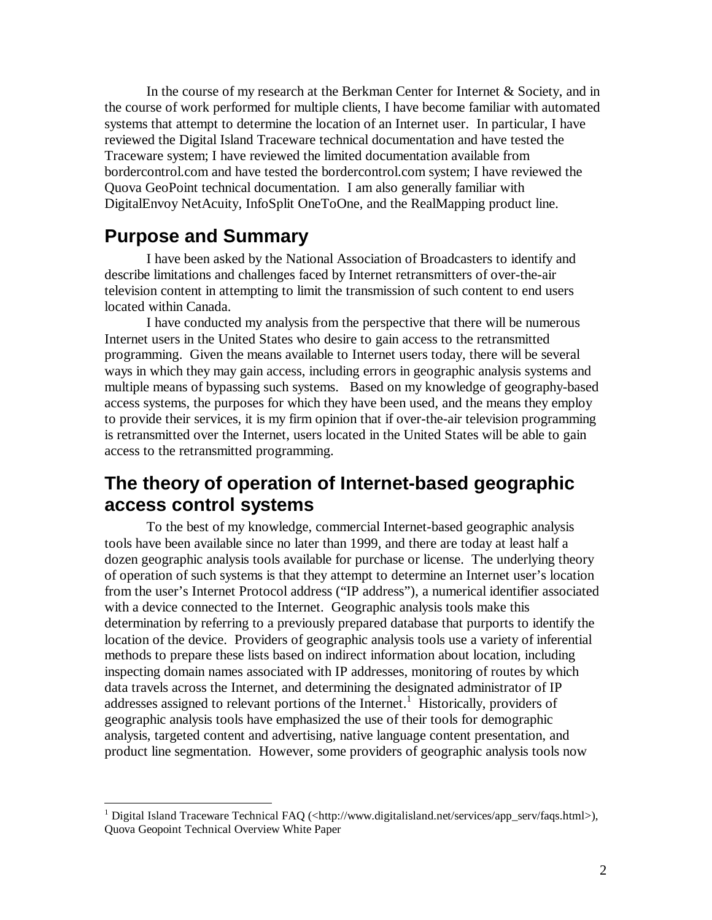In the course of my research at the Berkman Center for Internet & Society, and in the course of work performed for multiple clients, I have become familiar with automated systems that attempt to determine the location of an Internet user. In particular, I have reviewed the Digital Island Traceware technical documentation and have tested the Traceware system; I have reviewed the limited documentation available from bordercontrol.com and have tested the bordercontrol.com system; I have reviewed the Quova GeoPoint technical documentation. I am also generally familiar with DigitalEnvoy NetAcuity, InfoSplit OneToOne, and the RealMapping product line.

### **Purpose and Summary**

-

I have been asked by the National Association of Broadcasters to identify and describe limitations and challenges faced by Internet retransmitters of over-the-air television content in attempting to limit the transmission of such content to end users located within Canada.

I have conducted my analysis from the perspective that there will be numerous Internet users in the United States who desire to gain access to the retransmitted programming. Given the means available to Internet users today, there will be several ways in which they may gain access, including errors in geographic analysis systems and multiple means of bypassing such systems. Based on my knowledge of geography-based access systems, the purposes for which they have been used, and the means they employ to provide their services, it is my firm opinion that if over-the-air television programming is retransmitted over the Internet, users located in the United States will be able to gain access to the retransmitted programming.

## **The theory of operation of Internet-based geographic access control systems**

To the best of my knowledge, commercial Internet-based geographic analysis tools have been available since no later than 1999, and there are today at least half a dozen geographic analysis tools available for purchase or license. The underlying theory of operation of such systems is that they attempt to determine an Internet user's location from the user's Internet Protocol address ("IP address"), a numerical identifier associated with a device connected to the Internet. Geographic analysis tools make this determination by referring to a previously prepared database that purports to identify the location of the device. Providers of geographic analysis tools use a variety of inferential methods to prepare these lists based on indirect information about location, including inspecting domain names associated with IP addresses, monitoring of routes by which data travels across the Internet, and determining the designated administrator of IP addresses assigned to relevant portions of the Internet.<sup>1</sup> Historically, providers of geographic analysis tools have emphasized the use of their tools for demographic analysis, targeted content and advertising, native language content presentation, and product line segmentation. However, some providers of geographic analysis tools now

<sup>&</sup>lt;sup>1</sup> Digital Island Traceware Technical FAQ (<http://www.digitalisland.net/services/app\_serv/faqs.html>), Quova Geopoint Technical Overview White Paper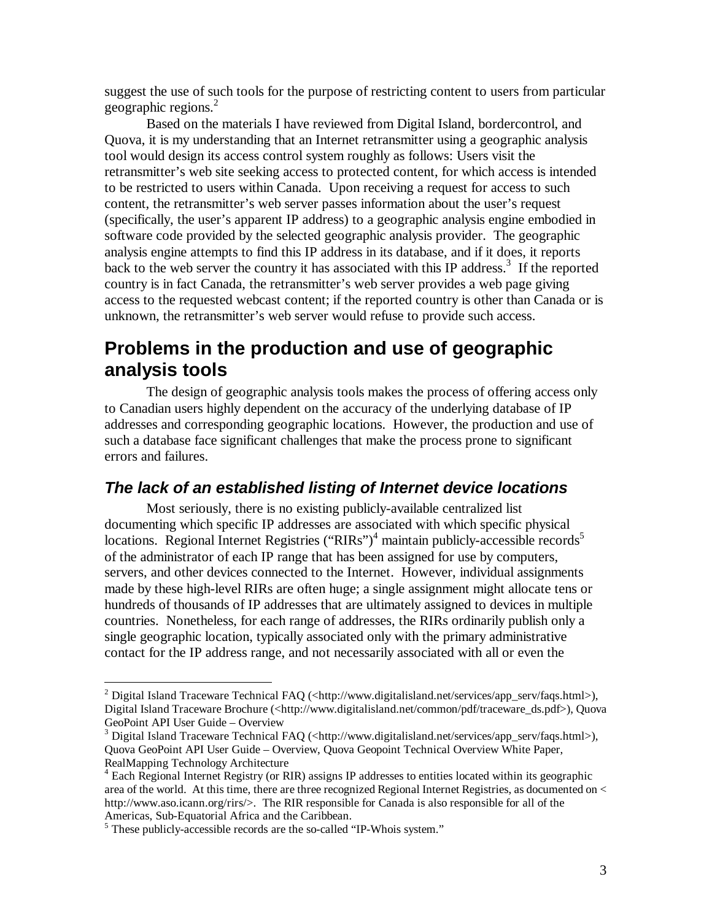suggest the use of such tools for the purpose of restricting content to users from particular geographic regions. 2

Based on the materials I have reviewed from Digital Island, bordercontrol, and Quova, it is my understanding that an Internet retransmitter using a geographic analysis tool would design its access control system roughly as follows: Users visit the retransmitter's web site seeking access to protected content, for which access is intended to be restricted to users within Canada. Upon receiving a request for access to such content, the retransmitter's web server passes information about the user's request (specifically, the user's apparent IP address) to a geographic analysis engine embodied in software code provided by the selected geographic analysis provider. The geographic analysis engine attempts to find this IP address in its database, and if it does, it reports back to the web server the country it has associated with this IP address.<sup>3</sup> If the reported country is in fact Canada, the retransmitter's web server provides a web page giving access to the requested webcast content; if the reported country is other than Canada or is unknown, the retransmitter's web server would refuse to provide such access.

## **Problems in the production and use of geographic analysis tools**

The design of geographic analysis tools makes the process of offering access only to Canadian users highly dependent on the accuracy of the underlying database of IP addresses and corresponding geographic locations. However, the production and use of such a database face significant challenges that make the process prone to significant errors and failures.

### **The lack of an established listing of Internet device locations**

Most seriously, there is no existing publicly-available centralized list documenting which specific IP addresses are associated with which specific physical locations. Regional Internet Registries ("RIRs")<sup>4</sup> maintain publicly-accessible records<sup>5</sup> of the administrator of each IP range that has been assigned for use by computers, servers, and other devices connected to the Internet. However, individual assignments made by these high-level RIRs are often huge; a single assignment might allocate tens or hundreds of thousands of IP addresses that are ultimately assigned to devices in multiple countries. Nonetheless, for each range of addresses, the RIRs ordinarily publish only a single geographic location, typically associated only with the primary administrative contact for the IP address range, and not necessarily associated with all or even the

<sup>&</sup>lt;sup>2</sup> Digital Island Traceware Technical FAQ (<http://www.digitalisland.net/services/app\_serv/faqs.html>), Digital Island Traceware Brochure (<http://www.digitalisland.net/common/pdf/traceware\_ds.pdf>), Quova GeoPoint API User Guide – Overview

<sup>&</sup>lt;sup>3</sup> Digital Island Traceware Technical FAQ (<http://www.digitalisland.net/services/app\_serv/faqs.html>), Quova GeoPoint API User Guide – Overview, Quova Geopoint Technical Overview White Paper, RealMapping Technology Architecture

<sup>&</sup>lt;sup>4</sup> Each Regional Internet Registry (or RIR) assigns IP addresses to entities located within its geographic area of the world. At this time, there are three recognized Regional Internet Registries, as documented on < http://www.aso.icann.org/rirs/>. The RIR responsible for Canada is also responsible for all of the Americas, Sub-Equatorial Africa and the Caribbean.

<sup>&</sup>lt;sup>5</sup> These publicly-accessible records are the so-called "IP-Whois system."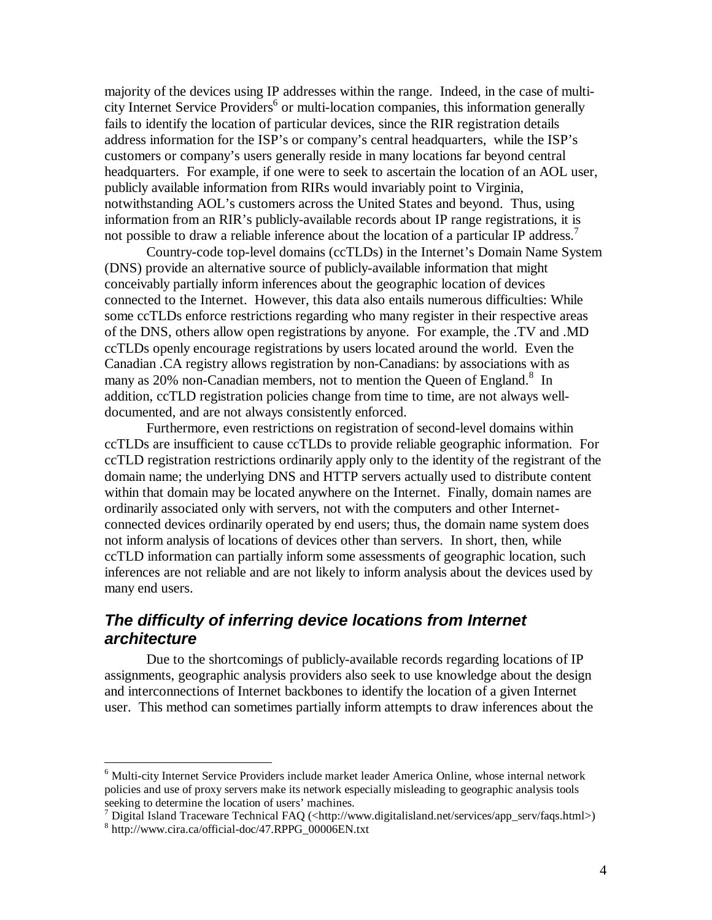majority of the devices using IP addresses within the range. Indeed, in the case of multicity Internet Service Providers 6 or multi-location companies, this information generally fails to identify the location of particular devices, since the RIR registration details address information for the ISP's or company's central headquarters, while the ISP's customers or company's users generally reside in many locations far beyond central headquarters. For example, if one were to seek to ascertain the location of an AOL user, publicly available information from RIRs would invariably point to Virginia, notwithstanding AOL's customers across the United States and beyond. Thus, using information from an RIR's publicly-available records about IP range registrations, it is not possible to draw a reliable inference about the location of a particular IP address.<sup>7</sup>

Country-code top-level domains (ccTLDs) in the Internet's Domain Name System (DNS) provide an alternative source of publicly-available information that might conceivably partially inform inferences about the geographic location of devices connected to the Internet. However, this data also entails numerous difficulties: While some ccTLDs enforce restrictions regarding who many register in their respective areas of the DNS, others allow open registrations by anyone. For example, the .TV and .MD ccTLDs openly encourage registrations by users located around the world. Even the Canadian .CA registry allows registration by non-Canadians: by associations with as many as 20% non-Canadian members, not to mention the Queen of England.<sup>8</sup> In addition, ccTLD registration policies change from time to time, are not always welldocumented, and are not always consistently enforced.

Furthermore, even restrictions on registration of second-level domains within ccTLDs are insufficient to cause ccTLDs to provide reliable geographic information. For ccTLD registration restrictions ordinarily apply only to the identity of the registrant of the domain name; the underlying DNS and HTTP servers actually used to distribute content within that domain may be located anywhere on the Internet. Finally, domain names are ordinarily associated only with servers, not with the computers and other Internetconnected devices ordinarily operated by end users; thus, the domain name system does not inform analysis of locations of devices other than servers. In short, then, while ccTLD information can partially inform some assessments of geographic location, such inferences are not reliable and are not likely to inform analysis about the devices used by many end users.

### **The difficulty of inferring device locations from Internet architecture**

 $\overline{a}$ 

Due to the shortcomings of publicly-available records regarding locations of IP assignments, geographic analysis providers also seek to use knowledge about the design and interconnections of Internet backbones to identify the location of a given Internet user. This method can sometimes partially inform attempts to draw inferences about the

<sup>&</sup>lt;sup>6</sup> Multi-city Internet Service Providers include market leader America Online, whose internal network policies and use of proxy servers make its network especially misleading to geographic analysis tools seeking to determine the location of users' machines.

<sup>7</sup> Digital Island Traceware Technical FAQ (<http://www.digitalisland.net/services/app\_serv/faqs.html>) 8 http://www.cira.ca/official-doc/47.RPPG\_00006EN.txt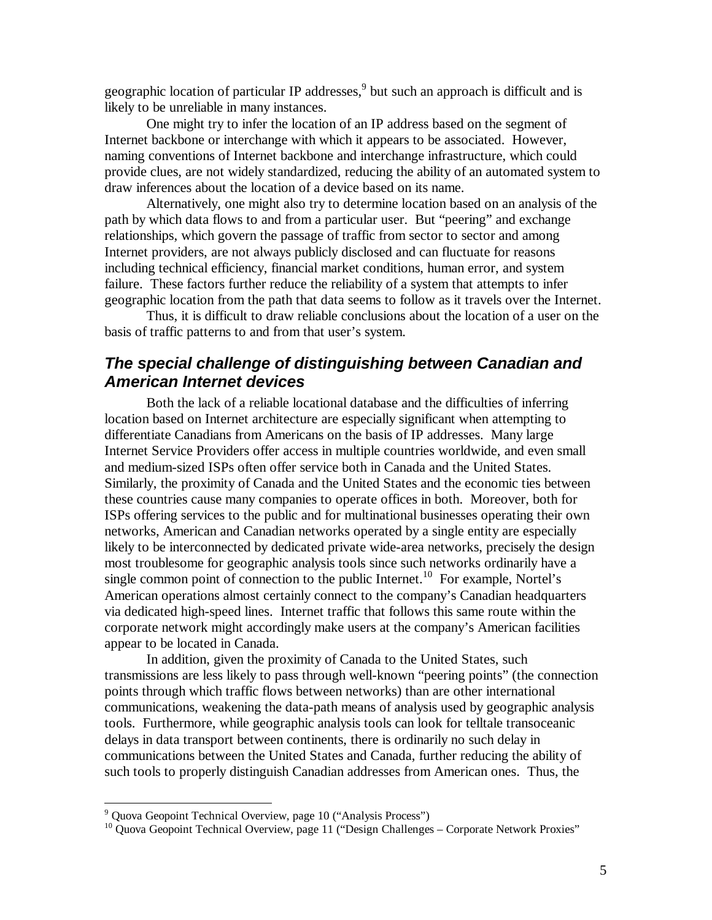geographic location of particular IP addresses, 9 but such an approach is difficult and is likely to be unreliable in many instances.

One might try to infer the location of an IP address based on the segment of Internet backbone or interchange with which it appears to be associated. However, naming conventions of Internet backbone and interchange infrastructure, which could provide clues, are not widely standardized, reducing the ability of an automated system to draw inferences about the location of a device based on its name.

Alternatively, one might also try to determine location based on an analysis of the path by which data flows to and from a particular user. But "peering" and exchange relationships, which govern the passage of traffic from sector to sector and among Internet providers, are not always publicly disclosed and can fluctuate for reasons including technical efficiency, financial market conditions, human error, and system failure. These factors further reduce the reliability of a system that attempts to infer geographic location from the path that data seems to follow as it travels over the Internet.

Thus, it is difficult to draw reliable conclusions about the location of a user on the basis of traffic patterns to and from that user's system.

### **The special challenge of distinguishing between Canadian and American Internet devices**

Both the lack of a reliable locational database and the difficulties of inferring location based on Internet architecture are especially significant when attempting to differentiate Canadians from Americans on the basis of IP addresses. Many large Internet Service Providers offer access in multiple countries worldwide, and even small and medium-sized ISPs often offer service both in Canada and the United States. Similarly, the proximity of Canada and the United States and the economic ties between these countries cause many companies to operate offices in both. Moreover, both for ISPs offering services to the public and for multinational businesses operating their own networks, American and Canadian networks operated by a single entity are especially likely to be interconnected by dedicated private wide-area networks, precisely the design most troublesome for geographic analysis tools since such networks ordinarily have a single common point of connection to the public Internet.<sup>10</sup> For example, Nortel's American operations almost certainly connect to the company's Canadian headquarters via dedicated high-speed lines. Internet traffic that follows this same route within the corporate network might accordingly make users at the company's American facilities appear to be located in Canada.

In addition, given the proximity of Canada to the United States, such transmissions are less likely to pass through well-known "peering points" (the connection points through which traffic flows between networks) than are other international communications, weakening the data-path means of analysis used by geographic analysis tools. Furthermore, while geographic analysis tools can look for telltale transoceanic delays in data transport between continents, there is ordinarily no such delay in communications between the United States and Canada, further reducing the ability of such tools to properly distinguish Canadian addresses from American ones. Thus, the

-

<sup>&</sup>lt;sup>9</sup> Quova Geopoint Technical Overview, page 10 ("Analysis Process")

<sup>&</sup>lt;sup>10</sup> Quova Geopoint Technical Overview, page 11 ("Design Challenges – Corporate Network Proxies"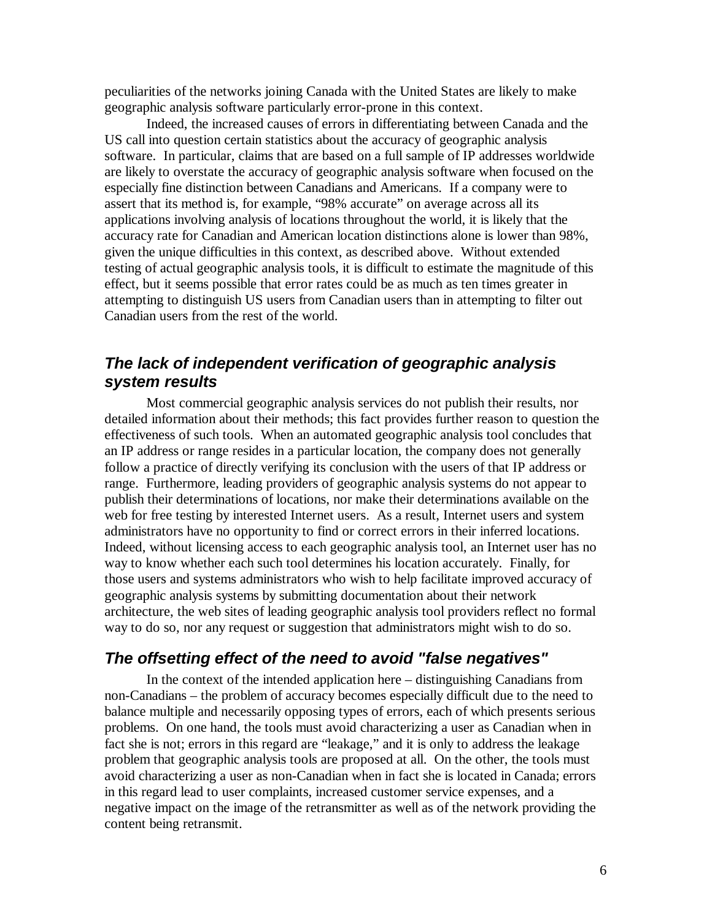peculiarities of the networks joining Canada with the United States are likely to make geographic analysis software particularly error-prone in this context.

Indeed, the increased causes of errors in differentiating between Canada and the US call into question certain statistics about the accuracy of geographic analysis software. In particular, claims that are based on a full sample of IP addresses worldwide are likely to overstate the accuracy of geographic analysis software when focused on the especially fine distinction between Canadians and Americans. If a company were to assert that its method is, for example, "98% accurate" on average across all its applications involving analysis of locations throughout the world, it is likely that the accuracy rate for Canadian and American location distinctions alone is lower than 98%, given the unique difficulties in this context, as described above. Without extended testing of actual geographic analysis tools, it is difficult to estimate the magnitude of this effect, but it seems possible that error rates could be as much as ten times greater in attempting to distinguish US users from Canadian users than in attempting to filter out Canadian users from the rest of the world.

### **The lack of independent verification of geographic analysis system results**

Most commercial geographic analysis services do not publish their results, nor detailed information about their methods; this fact provides further reason to question the effectiveness of such tools. When an automated geographic analysis tool concludes that an IP address or range resides in a particular location, the company does not generally follow a practice of directly verifying its conclusion with the users of that IP address or range. Furthermore, leading providers of geographic analysis systems do not appear to publish their determinations of locations, nor make their determinations available on the web for free testing by interested Internet users. As a result, Internet users and system administrators have no opportunity to find or correct errors in their inferred locations. Indeed, without licensing access to each geographic analysis tool, an Internet user has no way to know whether each such tool determines his location accurately. Finally, for those users and systems administrators who wish to help facilitate improved accuracy of geographic analysis systems by submitting documentation about their network architecture, the web sites of leading geographic analysis tool providers reflect no formal way to do so, nor any request or suggestion that administrators might wish to do so.

#### **The offsetting effect of the need to avoid "false negatives"**

In the context of the intended application here – distinguishing Canadians from non-Canadians – the problem of accuracy becomes especially difficult due to the need to balance multiple and necessarily opposing types of errors, each of which presents serious problems. On one hand, the tools must avoid characterizing a user as Canadian when in fact she is not; errors in this regard are "leakage," and it is only to address the leakage problem that geographic analysis tools are proposed at all. On the other, the tools must avoid characterizing a user as non-Canadian when in fact she is located in Canada; errors in this regard lead to user complaints, increased customer service expenses, and a negative impact on the image of the retransmitter as well as of the network providing the content being retransmit.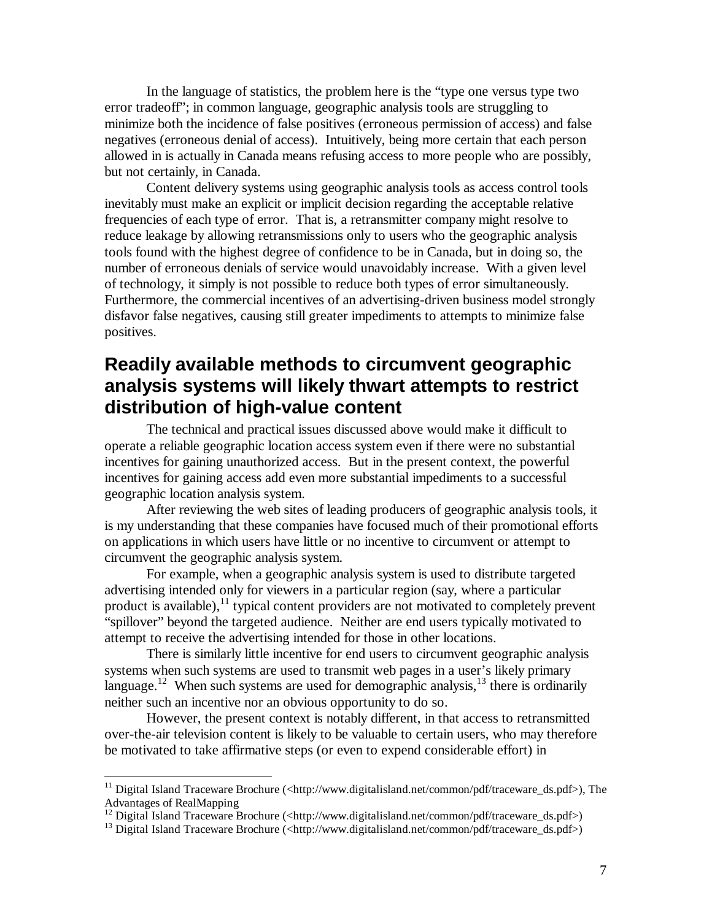In the language of statistics, the problem here is the "type one versus type two error tradeoff"; in common language, geographic analysis tools are struggling to minimize both the incidence of false positives (erroneous permission of access) and false negatives (erroneous denial of access). Intuitively, being more certain that each person allowed in is actually in Canada means refusing access to more people who are possibly, but not certainly, in Canada.

Content delivery systems using geographic analysis tools as access control tools inevitably must make an explicit or implicit decision regarding the acceptable relative frequencies of each type of error. That is, a retransmitter company might resolve to reduce leakage by allowing retransmissions only to users who the geographic analysis tools found with the highest degree of confidence to be in Canada, but in doing so, the number of erroneous denials of service would unavoidably increase. With a given level of technology, it simply is not possible to reduce both types of error simultaneously. Furthermore, the commercial incentives of an advertising-driven business model strongly disfavor false negatives, causing still greater impediments to attempts to minimize false positives.

## **Readily available methods to circumvent geographic analysis systems will likely thwart attempts to restrict distribution of high-value content**

The technical and practical issues discussed above would make it difficult to operate a reliable geographic location access system even if there were no substantial incentives for gaining unauthorized access. But in the present context, the powerful incentives for gaining access add even more substantial impediments to a successful geographic location analysis system.

After reviewing the web sites of leading producers of geographic analysis tools, it is my understanding that these companies have focused much of their promotional efforts on applications in which users have little or no incentive to circumvent or attempt to circumvent the geographic analysis system.

For example, when a geographic analysis system is used to distribute targeted advertising intended only for viewers in a particular region (say, where a particular product is available),<sup>11</sup> typical content providers are not motivated to completely prevent "spillover" beyond the targeted audience. Neither are end users typically motivated to attempt to receive the advertising intended for those in other locations.

There is similarly little incentive for end users to circumvent geographic analysis systems when such systems are used to transmit web pages in a user's likely primary language.<sup>12</sup> When such systems are used for demographic analysis,<sup>13</sup> there is ordinarily neither such an incentive nor an obvious opportunity to do so.

However, the present context is notably different, in that access to retransmitted over-the-air television content is likely to be valuable to certain users, who may therefore be motivated to take affirmative steps (or even to expend considerable effort) in

<sup>&</sup>lt;sup>11</sup> Digital Island Traceware Brochure (<http://www.digitalisland.net/common/pdf/traceware\_ds.pdf>), The Advantages of RealMapping

<sup>&</sup>lt;sup>12</sup> Digital Island Traceware Brochure (<http://www.digitalisland.net/common/pdf/traceware\_ds.pdf>)

<sup>&</sup>lt;sup>13</sup> Digital Island Traceware Brochure (<http://www.digitalisland.net/common/pdf/traceware\_ds.pdf>)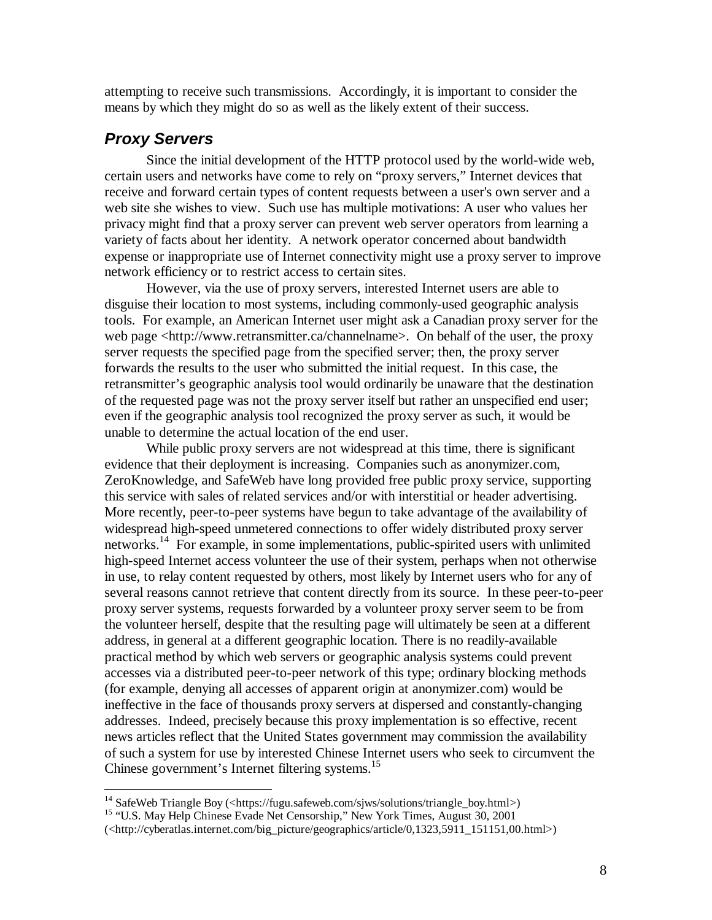attempting to receive such transmissions. Accordingly, it is important to consider the means by which they might do so as well as the likely extent of their success.

### **Proxy Servers**

Since the initial development of the HTTP protocol used by the world-wide web, certain users and networks have come to rely on "proxy servers," Internet devices that receive and forward certain types of content requests between a user's own server and a web site she wishes to view. Such use has multiple motivations: A user who values her privacy might find that a proxy server can prevent web server operators from learning a variety of facts about her identity. A network operator concerned about bandwidth expense or inappropriate use of Internet connectivity might use a proxy server to improve network efficiency or to restrict access to certain sites.

However, via the use of proxy servers, interested Internet users are able to disguise their location to most systems, including commonly-used geographic analysis tools. For example, an American Internet user might ask a Canadian proxy server for the web page <http://www.retransmitter.ca/channelname>. On behalf of the user, the proxy server requests the specified page from the specified server; then, the proxy server forwards the results to the user who submitted the initial request. In this case, the retransmitter's geographic analysis tool would ordinarily be unaware that the destination of the requested page was not the proxy server itself but rather an unspecified end user; even if the geographic analysis tool recognized the proxy server as such, it would be unable to determine the actual location of the end user.

While public proxy servers are not widespread at this time, there is significant evidence that their deployment is increasing. Companies such as anonymizer.com, ZeroKnowledge, and SafeWeb have long provided free public proxy service, supporting this service with sales of related services and/or with interstitial or header advertising. More recently, peer-to-peer systems have begun to take advantage of the availability of widespread high-speed unmetered connections to offer widely distributed proxy server networks. 14 For example, in some implementations, public-spirited users with unlimited high-speed Internet access volunteer the use of their system, perhaps when not otherwise in use, to relay content requested by others, most likely by Internet users who for any of several reasons cannot retrieve that content directly from its source. In these peer-to-peer proxy server systems, requests forwarded by a volunteer proxy server seem to be from the volunteer herself, despite that the resulting page will ultimately be seen at a different address, in general at a different geographic location. There is no readily-available practical method by which web servers or geographic analysis systems could prevent accesses via a distributed peer-to-peer network of this type; ordinary blocking methods (for example, denying all accesses of apparent origin at anonymizer.com) would be ineffective in the face of thousands proxy servers at dispersed and constantly-changing addresses. Indeed, precisely because this proxy implementation is so effective, recent news articles reflect that the United States government may commission the availability of such a system for use by interested Chinese Internet users who seek to circumvent the Chinese government's Internet filtering systems. 15

 14 SafeWeb Triangle Boy (<https://fugu.safeweb.com/sjws/solutions/triangle\_boy.html>)

<sup>&</sup>lt;sup>15</sup> "U.S. May Help Chinese Evade Net Censorship," New York Times, August 30, 2001

<sup>(&</sup>lt;http://cyberatlas.internet.com/big\_picture/geographics/article/0,1323,5911\_151151,00.html>)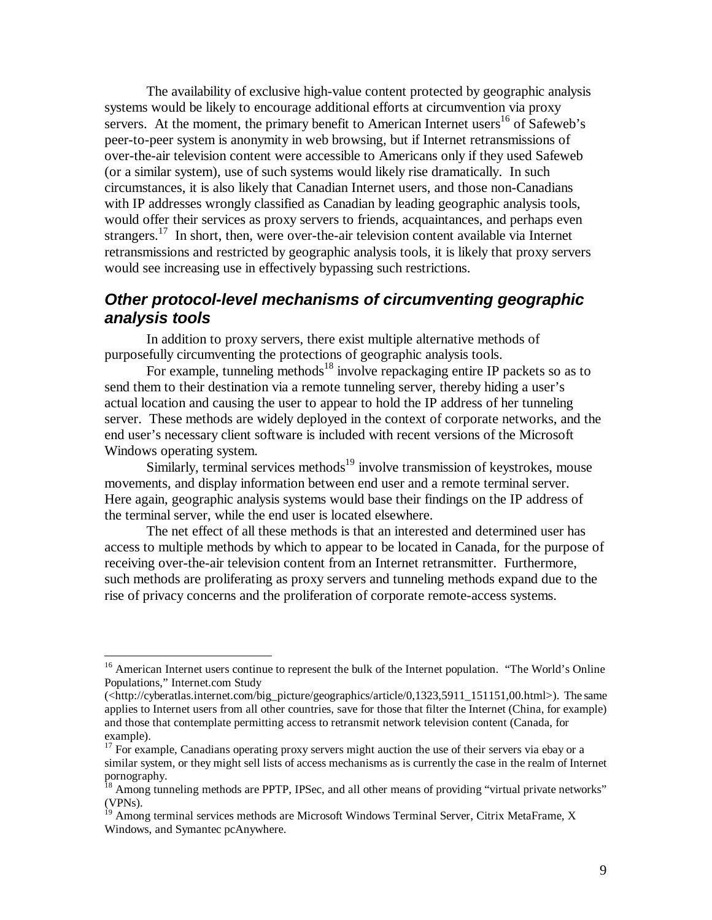The availability of exclusive high-value content protected by geographic analysis systems would be likely to encourage additional efforts at circumvention via proxy servers. At the moment, the primary benefit to American Internet users<sup>16</sup> of Safeweb's peer-to-peer system is anonymity in web browsing, but if Internet retransmissions of over-the-air television content were accessible to Americans only if they used Safeweb (or a similar system), use of such systems would likely rise dramatically. In such circumstances, it is also likely that Canadian Internet users, and those non-Canadians with IP addresses wrongly classified as Canadian by leading geographic analysis tools, would offer their services as proxy servers to friends, acquaintances, and perhaps even strangers.<sup>17</sup> In short, then, were over-the-air television content available via Internet retransmissions and restricted by geographic analysis tools, it is likely that proxy servers would see increasing use in effectively bypassing such restrictions.

### **Other protocol-level mechanisms of circumventing geographic analysis tools**

In addition to proxy servers, there exist multiple alternative methods of purposefully circumventing the protections of geographic analysis tools.

For example, tunneling methods<sup>18</sup> involve repackaging entire IP packets so as to send them to their destination via a remote tunneling server, thereby hiding a user's actual location and causing the user to appear to hold the IP address of her tunneling server. These methods are widely deployed in the context of corporate networks, and the end user's necessary client software is included with recent versions of the Microsoft Windows operating system.

Similarly, terminal services methods<sup>19</sup> involve transmission of keystrokes, mouse movements, and display information between end user and a remote terminal server. Here again, geographic analysis systems would base their findings on the IP address of the terminal server, while the end user is located elsewhere.

The net effect of all these methods is that an interested and determined user has access to multiple methods by which to appear to be located in Canada, for the purpose of receiving over-the-air television content from an Internet retransmitter. Furthermore, such methods are proliferating as proxy servers and tunneling methods expand due to the rise of privacy concerns and the proliferation of corporate remote-access systems.

<sup>&</sup>lt;sup>16</sup> American Internet users continue to represent the bulk of the Internet population. "The World's Online Populations," Internet.com Study

<sup>(&</sup>lt;http://cyberatlas.internet.com/big\_picture/geographics/article/0,1323,5911\_151151,00.html>). The same applies to Internet users from all other countries, save for those that filter the Internet (China, for example) and those that contemplate permitting access to retransmit network television content (Canada, for example).

<sup>&</sup>lt;sup>17</sup> For example, Canadians operating proxy servers might auction the use of their servers via ebay or a similar system, or they might sell lists of access mechanisms as is currently the case in the realm of Internet pornography.

 $^{18}$  Among tunneling methods are PPTP, IPSec, and all other means of providing "virtual private networks" (VPNs).

<sup>&</sup>lt;sup>19</sup> Among terminal services methods are Microsoft Windows Terminal Server, Citrix MetaFrame, X Windows, and Symantec pcAnywhere.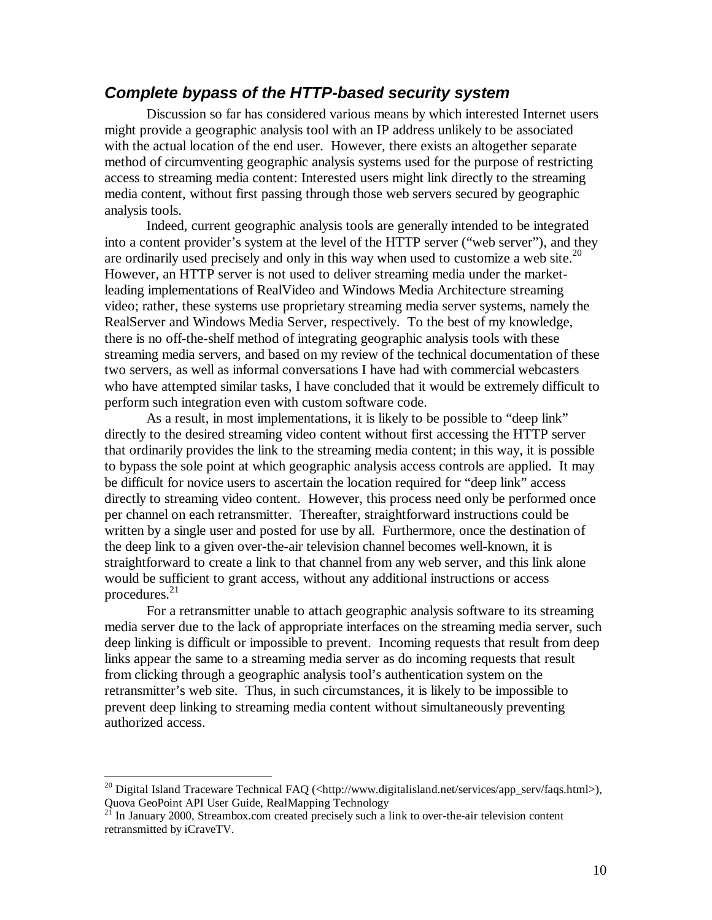#### **Complete bypass of the HTTP-based security system**

Discussion so far has considered various means by which interested Internet users might provide a geographic analysis tool with an IP address unlikely to be associated with the actual location of the end user. However, there exists an altogether separate method of circumventing geographic analysis systems used for the purpose of restricting access to streaming media content: Interested users might link directly to the streaming media content, without first passing through those web servers secured by geographic analysis tools.

Indeed, current geographic analysis tools are generally intended to be integrated into a content provider's system at the level of the HTTP server ("web server"), and they are ordinarily used precisely and only in this way when used to customize a web site. $20$ However, an HTTP server is not used to deliver streaming media under the marketleading implementations of RealVideo and Windows Media Architecture streaming video; rather, these systems use proprietary streaming media server systems, namely the RealServer and Windows Media Server, respectively. To the best of my knowledge, there is no off-the-shelf method of integrating geographic analysis tools with these streaming media servers, and based on my review of the technical documentation of these two servers, as well as informal conversations I have had with commercial webcasters who have attempted similar tasks, I have concluded that it would be extremely difficult to perform such integration even with custom software code.

As a result, in most implementations, it is likely to be possible to "deep link" directly to the desired streaming video content without first accessing the HTTP server that ordinarily provides the link to the streaming media content; in this way, it is possible to bypass the sole point at which geographic analysis access controls are applied. It may be difficult for novice users to ascertain the location required for "deep link" access directly to streaming video content. However, this process need only be performed once per channel on each retransmitter. Thereafter, straightforward instructions could be written by a single user and posted for use by all. Furthermore, once the destination of the deep link to a given over-the-air television channel becomes well-known, it is straightforward to create a link to that channel from any web server, and this link alone would be sufficient to grant access, without any additional instructions or access procedures. 21

For a retransmitter unable to attach geographic analysis software to its streaming media server due to the lack of appropriate interfaces on the streaming media server, such deep linking is difficult or impossible to prevent. Incoming requests that result from deep links appear the same to a streaming media server as do incoming requests that result from clicking through a geographic analysis tool's authentication system on the retransmitter's web site. Thus, in such circumstances, it is likely to be impossible to prevent deep linking to streaming media content without simultaneously preventing authorized access.

<sup>&</sup>lt;sup>20</sup> Digital Island Traceware Technical FAQ (<http://www.digitalisland.net/services/app\_serv/faqs.html>), Quova GeoPoint API User Guide, RealMapping Technology<br><sup>21</sup> In January 2000, Streambox.com created precisely such a link to over-the-air television content

retransmitted by iCraveTV.